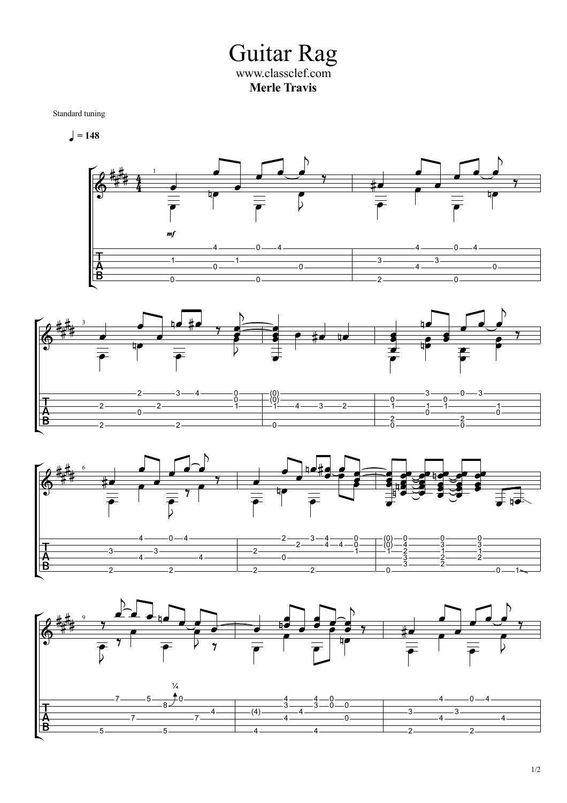Guitar Rag www.classclef.com **Merle Travis**

Standard tuning

 $= 148$